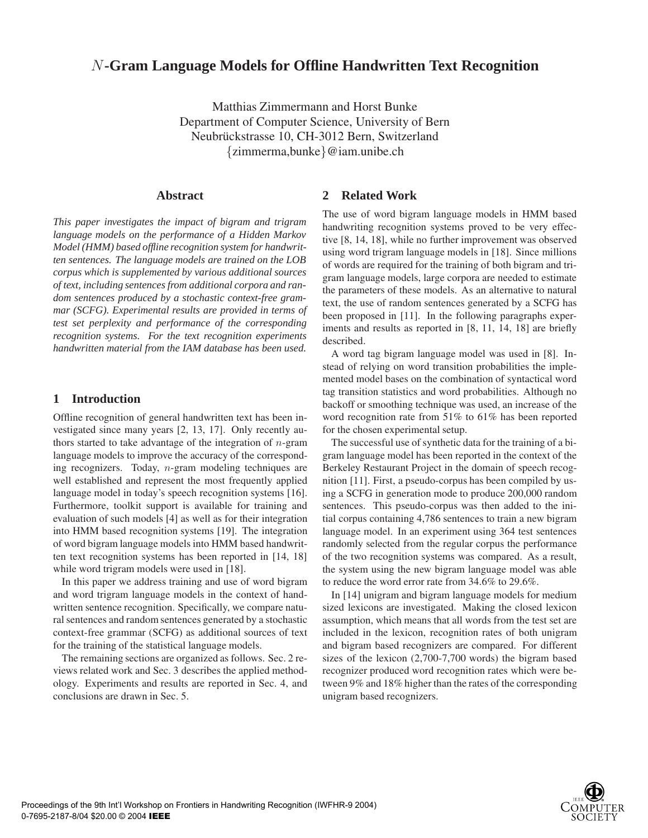# *N***-Gram Language Models for Offline Handwritten Text Recognition**

Matthias Zimmermann and Horst Bunke Department of Computer Science, University of Bern Neubrückstrasse 10, CH-3012 Bern, Switzerland {zimmerma,bunke}@iam.unibe.ch

## **Abstract**

*This paper investigates the impact of bigram and trigram language models on the performance of a Hidden Markov Model (HMM) based offline recognition system for handwritten sentences. The language models are trained on the LOB corpus which is supplemented by various additional sources of text, including sentences from additional corpora and random sentences produced by a stochastic context-free grammar (SCFG). Experimental results are provided in terms of test set perplexity and performance of the corresponding recognition systems. For the text recognition experiments handwritten material from the IAM database has been used.*

# **1 Introduction**

Offline recognition of general handwritten text has been investigated since many years [2, 13, 17]. Only recently authors started to take advantage of the integration of  $n$ -gram language models to improve the accuracy of the corresponding recognizers. Today, n-gram modeling techniques are well established and represent the most frequently applied language model in today's speech recognition systems [16]. Furthermore, toolkit support is available for training and evaluation of such models [4] as well as for their integration into HMM based recognition systems [19]. The integration of word bigram language models into HMM based handwritten text recognition systems has been reported in [14, 18] while word trigram models were used in [18].

In this paper we address training and use of word bigram and word trigram language models in the context of handwritten sentence recognition. Specifically, we compare natural sentences and random sentences generated by a stochastic context-free grammar (SCFG) as additional sources of text for the training of the statistical language models.

The remaining sections are organized as follows. Sec. 2 reviews related work and Sec. 3 describes the applied methodology. Experiments and results are reported in Sec. 4, and conclusions are drawn in Sec. 5.

# **2 Related Work**

The use of word bigram language models in HMM based handwriting recognition systems proved to be very effective [8, 14, 18], while no further improvement was observed using word trigram language models in [18]. Since millions of words are required for the training of both bigram and trigram language models, large corpora are needed to estimate the parameters of these models. As an alternative to natural text, the use of random sentences generated by a SCFG has been proposed in [11]. In the following paragraphs experiments and results as reported in [8, 11, 14, 18] are briefly described.

A word tag bigram language model was used in [8]. Instead of relying on word transition probabilities the implemented model bases on the combination of syntactical word tag transition statistics and word probabilities. Although no backoff or smoothing technique was used, an increase of the word recognition rate from 51% to 61% has been reported for the chosen experimental setup.

The successful use of synthetic data for the training of a bigram language model has been reported in the context of the Berkeley Restaurant Project in the domain of speech recognition [11]. First, a pseudo-corpus has been compiled by using a SCFG in generation mode to produce 200,000 random sentences. This pseudo-corpus was then added to the initial corpus containing 4,786 sentences to train a new bigram language model. In an experiment using 364 test sentences randomly selected from the regular corpus the performance of the two recognition systems was compared. As a result, the system using the new bigram language model was able to reduce the word error rate from 34.6% to 29.6%.

In [14] unigram and bigram language models for medium sized lexicons are investigated. Making the closed lexicon assumption, which means that all words from the test set are included in the lexicon, recognition rates of both unigram and bigram based recognizers are compared. For different sizes of the lexicon (2,700-7,700 words) the bigram based recognizer produced word recognition rates which were between 9% and 18% higher than the rates of the corresponding unigram based recognizers.

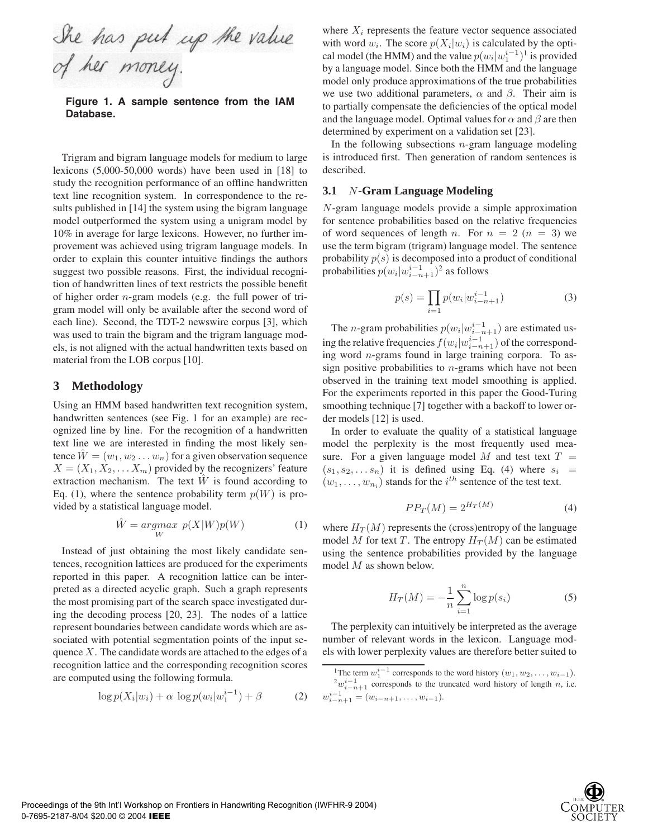She has put up the value<br>of her money.

**Figure 1. A sample sentence from the IAM Database.**

Trigram and bigram language models for medium to large lexicons (5,000-50,000 words) have been used in [18] to study the recognition performance of an offline handwritten text line recognition system. In correspondence to the results published in [14] the system using the bigram language model outperformed the system using a unigram model by 10% in average for large lexicons. However, no further improvement was achieved using trigram language models. In order to explain this counter intuitive findings the authors suggest two possible reasons. First, the individual recognition of handwritten lines of text restricts the possible benefit of higher order n-gram models (e.g. the full power of trigram model will only be available after the second word of each line). Second, the TDT-2 newswire corpus [3], which was used to train the bigram and the trigram language models, is not aligned with the actual handwritten texts based on material from the LOB corpus [10].

## **3 Methodology**

Using an HMM based handwritten text recognition system, handwritten sentences (see Fig. 1 for an example) are recognized line by line. For the recognition of a handwritten text line we are interested in finding the most likely sentence  $\tilde{W} = (w_1, w_2 \dots w_n)$  for a given observation sequence  $X = (X_1, X_2, \dots, X_m)$  provided by the recognizers' feature extraction mechanism. The text  $\tilde{W}$  is found according to Eq. (1), where the sentence probability term  $p(W)$  is provided by a statistical language model.

$$
\hat{W} = \underset{W}{\operatorname{argmax}} \ p(X|W)p(W) \tag{1}
$$

Instead of just obtaining the most likely candidate sentences, recognition lattices are produced for the experiments reported in this paper. A recognition lattice can be interpreted as a directed acyclic graph. Such a graph represents the most promising part of the search space investigated during the decoding process [20, 23]. The nodes of a lattice represent boundaries between candidate words which are associated with potential segmentation points of the input sequence  $X$ . The candidate words are attached to the edges of a recognition lattice and the corresponding recognition scores are computed using the following formula.

$$
\log p(X_i|w_i) + \alpha \, \log p(w_i|w_1^{i-1}) + \beta \tag{2}
$$

where  $X_i$  represents the feature vector sequence associated with word  $w_i$ . The score  $p(X_i|w_i)$  is calculated by the optical model (the HMM) and the value  $p(w_i|w_i^{i-1})$ <sup>1</sup> is provided<br>by a language model. Since both the HMM and the language by a language model. Since both the HMM and the language model only produce approximations of the true probabilities we use two additional parameters,  $\alpha$  and  $\beta$ . Their aim is to partially compensate the deficiencies of the optical model and the language model. Optimal values for  $\alpha$  and  $\beta$  are then determined by experiment on a validation set [23].

In the following subsections  $n$ -gram language modeling is introduced first. Then generation of random sentences is described.

#### **3.1** N**-Gram Language Modeling**

N-gram language models provide a simple approximation for sentence probabilities based on the relative frequencies of word sequences of length n. For  $n = 2$  ( $n = 3$ ) we use the term bigram (trigram) language model. The sentence probability  $p(s)$  is decomposed into a product of conditional probabilities  $p(w_i|w_{i-n+1}^{i-1})^2$  as follows

$$
p(s) = \prod_{i=1} p(w_i | w_{i-n+1}^{i-1})
$$
 (3)

The *n*-gram probabilities  $p(w_i|w_{i-n+1}^{i-1})$  are estimated us-<br>intervalsting fraction  $f(w_i|w_{i-1}^{i-1})$  of the correspond ing the relative frequencies  $f(w_i|w_{i-n+1}^{i-1})$  of the correspond-<br>ing word *n*-grams found in large training corpora. To asing word n-grams found in large training corpora. To assign positive probabilities to  $n$ -grams which have not been observed in the training text model smoothing is applied. For the experiments reported in this paper the Good-Turing smoothing technique [7] together with a backoff to lower order models [12] is used.

In order to evaluate the quality of a statistical language model the perplexity is the most frequently used measure. For a given language model M and test text  $T =$  $(s_1, s_2,...s_n)$  it is defined using Eq. (4) where  $s_i$  =  $(w_1, \ldots, w_{n_i})$  stands for the *i*<sup>th</sup> sentence of the test text.

$$
PP_T(M) = 2^{H_T(M)} \tag{4}
$$

where  $H_T(M)$  represents the (cross)entropy of the language model M for text T. The entropy  $H_T(M)$  can be estimated using the sentence probabilities provided by the language model M as shown below.

$$
H_T(M) = -\frac{1}{n} \sum_{i=1}^{n} \log p(s_i)
$$
 (5)

The perplexity can intuitively be interpreted as the average number of relevant words in the lexicon. Language models with lower perplexity values are therefore better suited to



<sup>&</sup>lt;sup>1</sup>The term  $w_1^{i-1}$  corresponds to the word history  $(w_1, w_2, \ldots, w_{i-1})$ . <sup>1</sup>The term  $w_1^{i-1}$  corresponds to the word history  $(w_1, w_2, \ldots, w_{i-1})$ .<br>
<sup>2</sup> $w_{i-n+1}^{i-1}$  corresponds to the truncated word history of length *n*, i.e.  $w_{i-n+1}^{i-1} = (w_{i-n+1}, \ldots, w_{i-1}).$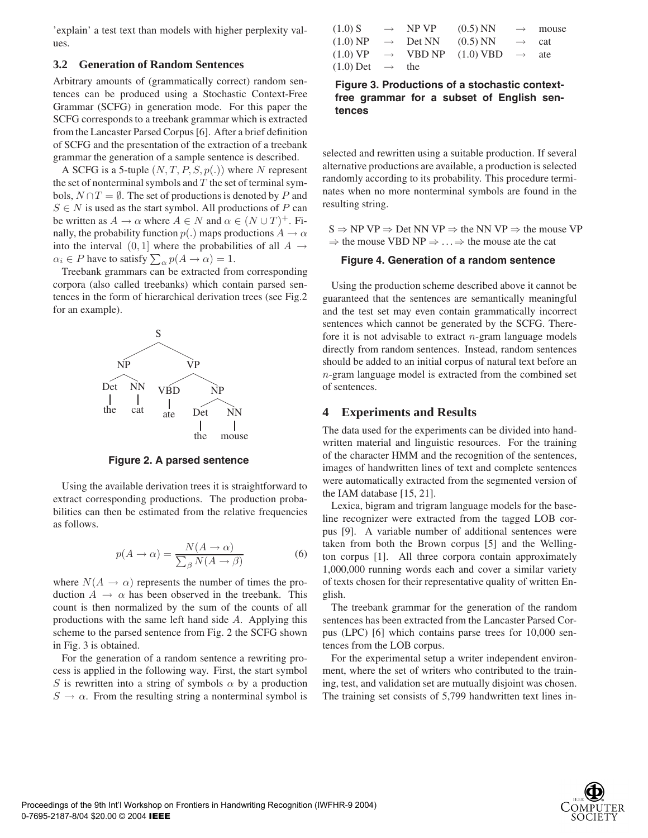'explain' a test text than models with higher perplexity values.

### **3.2 Generation of Random Sentences**

Arbitrary amounts of (grammatically correct) random sentences can be produced using a Stochastic Context-Free Grammar (SCFG) in generation mode. For this paper the SCFG corresponds to a treebank grammar which is extracted from the Lancaster Parsed Corpus [6]. After a brief definition of SCFG and the presentation of the extraction of a treebank grammar the generation of a sample sentence is described.

A SCFG is a 5-tuple  $(N, T, P, S, p(.)$  where N represent the set of nonterminal symbols and  $T$  the set of terminal symbols,  $N \cap T = \emptyset$ . The set of productions is denoted by P and  $S \in N$  is used as the start symbol. All productions of P can be written as  $A \to \alpha$  where  $A \in N$  and  $\alpha \in (N \cup T)^{+}$ . Finally, the probability function  $p(.)$  maps productions  $A \rightarrow \alpha$ into the interval  $(0, 1]$  where the probabilities of all  $A \rightarrow$  $\alpha_i \in P$  have to satisfy  $\sum_{\alpha} p(A \to \alpha) = 1$ .<br>Treebank grammars can be extracted from

Treebank grammars can be extracted from corresponding corpora (also called treebanks) which contain parsed sentences in the form of hierarchical derivation trees (see Fig.2 for an example).



**Figure 2. A parsed sentence**

Using the available derivation trees it is straightforward to extract corresponding productions. The production probabilities can then be estimated from the relative frequencies as follows.

$$
p(A \to \alpha) = \frac{N(A \to \alpha)}{\sum_{\beta} N(A \to \beta)} \tag{6}
$$

where  $N(A \rightarrow \alpha)$  represents the number of times the production  $A \rightarrow \alpha$  has been observed in the treebank. This count is then normalized by the sum of the counts of all productions with the same left hand side A. Applying this scheme to the parsed sentence from Fig. 2 the SCFG shown in Fig. 3 is obtained.

For the generation of a random sentence a rewriting process is applied in the following way. First, the start symbol S is rewritten into a string of symbols  $\alpha$  by a production  $S \to \alpha$ . From the resulting string a nonterminal symbol is

| $(1.0)$ S                     | $\rightarrow$ NP VP  | $(0.5)$ NN                                                    |                       | $\rightarrow$ mouse |
|-------------------------------|----------------------|---------------------------------------------------------------|-----------------------|---------------------|
| $(1.0)$ NP                    | $\rightarrow$ Det NN | $(0.5)$ NN                                                    | $\rightarrow$ cat     |                     |
|                               |                      | $(1.0) \text{ VP} \rightarrow \text{VBD NP} (1.0) \text{VBD}$ | $\cdot$ $\rightarrow$ | ate                 |
| $(1.0)$ Det $\rightarrow$ the |                      |                                                               |                       |                     |

**Figure 3. Productions of a stochastic contextfree grammar for a subset of English sentences**

selected and rewritten using a suitable production. If several alternative productions are available, a production is selected randomly according to its probability. This procedure terminates when no more nonterminal symbols are found in the resulting string.

 $S \Rightarrow NP VP \Rightarrow Det NN VP \Rightarrow the NN VP \Rightarrow the mouse VP$  $\Rightarrow$  the mouse VBD NP  $\Rightarrow$  ... $\Rightarrow$  the mouse ate the cat

## **Figure 4. Generation of a random sentence**

Using the production scheme described above it cannot be guaranteed that the sentences are semantically meaningful and the test set may even contain grammatically incorrect sentences which cannot be generated by the SCFG. Therefore it is not advisable to extract  $n$ -gram language models directly from random sentences. Instead, random sentences should be added to an initial corpus of natural text before an n-gram language model is extracted from the combined set of sentences.

## **4 Experiments and Results**

The data used for the experiments can be divided into handwritten material and linguistic resources. For the training of the character HMM and the recognition of the sentences, images of handwritten lines of text and complete sentences were automatically extracted from the segmented version of the IAM database [15, 21].

Lexica, bigram and trigram language models for the baseline recognizer were extracted from the tagged LOB corpus [9]. A variable number of additional sentences were taken from both the Brown corpus [5] and the Wellington corpus [1]. All three corpora contain approximately 1,000,000 running words each and cover a similar variety of texts chosen for their representative quality of written English.

The treebank grammar for the generation of the random sentences has been extracted from the Lancaster Parsed Corpus (LPC) [6] which contains parse trees for 10,000 sentences from the LOB corpus.

For the experimental setup a writer independent environment, where the set of writers who contributed to the training, test, and validation set are mutually disjoint was chosen. The training set consists of 5,799 handwritten text lines in-

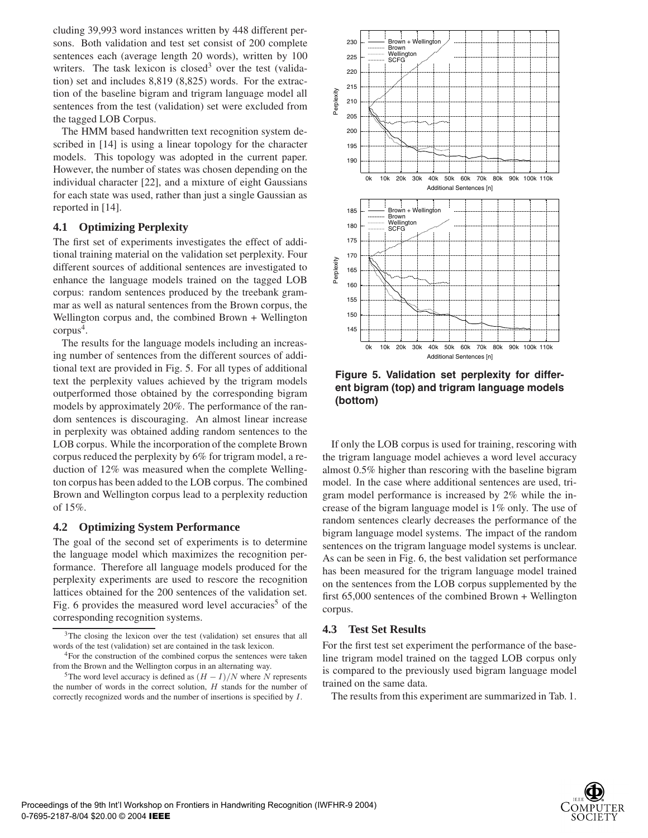cluding 39,993 word instances written by 448 different persons. Both validation and test set consist of 200 complete sentences each (average length 20 words), written by 100 writers. The task lexicon is closed<sup>3</sup> over the test (validation) set and includes 8,819 (8,825) words. For the extraction of the baseline bigram and trigram language model all sentences from the test (validation) set were excluded from the tagged LOB Corpus.

The HMM based handwritten text recognition system described in [14] is using a linear topology for the character models. This topology was adopted in the current paper. However, the number of states was chosen depending on the individual character [22], and a mixture of eight Gaussians for each state was used, rather than just a single Gaussian as reported in [14].

## **4.1 Optimizing Perplexity**

The first set of experiments investigates the effect of additional training material on the validation set perplexity. Four different sources of additional sentences are investigated to enhance the language models trained on the tagged LOB corpus: random sentences produced by the treebank grammar as well as natural sentences from the Brown corpus, the Wellington corpus and, the combined Brown + Wellington  $corpus<sup>4</sup>$ .

The results for the language models including an increasing number of sentences from the different sources of additional text are provided in Fig. 5. For all types of additional text the perplexity values achieved by the trigram models outperformed those obtained by the corresponding bigram models by approximately 20%. The performance of the random sentences is discouraging. An almost linear increase in perplexity was obtained adding random sentences to the LOB corpus. While the incorporation of the complete Brown corpus reduced the perplexity by 6% for trigram model, a reduction of 12% was measured when the complete Wellington corpus has been added to the LOB corpus. The combined Brown and Wellington corpus lead to a perplexity reduction of 15%.

## **4.2 Optimizing System Performance**

The goal of the second set of experiments is to determine the language model which maximizes the recognition performance. Therefore all language models produced for the perplexity experiments are used to rescore the recognition lattices obtained for the 200 sentences of the validation set. Fig. 6 provides the measured word level accuracies<sup>5</sup> of the corresponding recognition systems.



**Figure 5. Validation set perplexity for different bigram (top) and trigram language models (bottom)**

If only the LOB corpus is used for training, rescoring with the trigram language model achieves a word level accuracy almost 0.5% higher than rescoring with the baseline bigram model. In the case where additional sentences are used, trigram model performance is increased by 2% while the increase of the bigram language model is 1% only. The use of random sentences clearly decreases the performance of the bigram language model systems. The impact of the random sentences on the trigram language model systems is unclear. As can be seen in Fig. 6, the best validation set performance has been measured for the trigram language model trained on the sentences from the LOB corpus supplemented by the first 65,000 sentences of the combined Brown + Wellington corpus.

## **4.3 Test Set Results**

For the first test set experiment the performance of the baseline trigram model trained on the tagged LOB corpus only is compared to the previously used bigram language model trained on the same data.

The results from this experiment are summarized in Tab. 1.



<sup>&</sup>lt;sup>3</sup>The closing the lexicon over the test (validation) set ensures that all words of the test (validation) set are contained in the task lexicon.

<sup>&</sup>lt;sup>4</sup>For the construction of the combined corpus the sentences were taken from the Brown and the Wellington corpus in an alternating way.

<sup>&</sup>lt;sup>5</sup>The word level accuracy is defined as  $(H - I)/N$  where *N* represents the number of words in the correct solution, *H* stands for the number of correctly recognized words and the number of insertions is specified by *I*.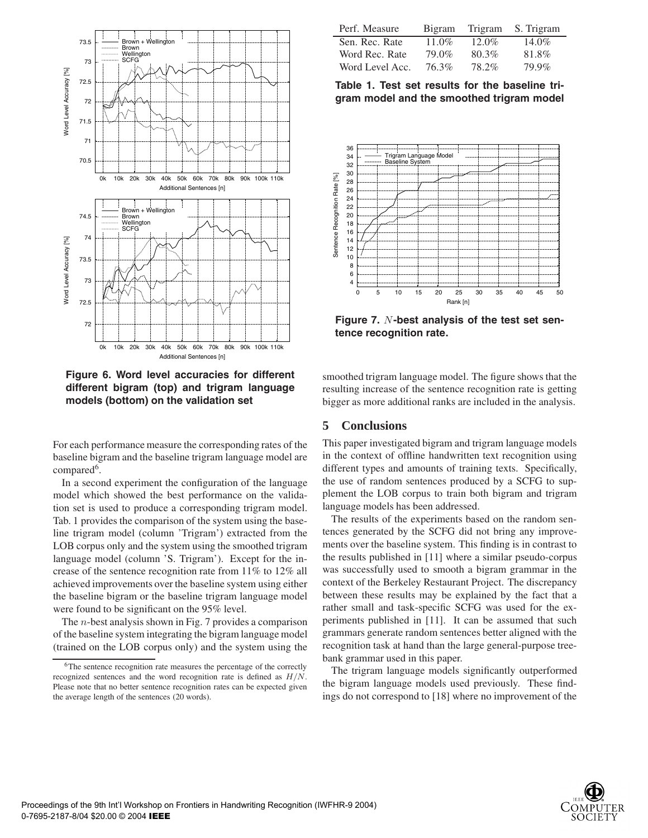

**Figure 6. Word level accuracies for different different bigram (top) and trigram language models (bottom) on the validation set**

For each performance measure the corresponding rates of the baseline bigram and the baseline trigram language model are compared<sup>6</sup>.

In a second experiment the configuration of the language model which showed the best performance on the validation set is used to produce a corresponding trigram model. Tab. 1 provides the comparison of the system using the baseline trigram model (column 'Trigram') extracted from the LOB corpus only and the system using the smoothed trigram language model (column 'S. Trigram'). Except for the increase of the sentence recognition rate from 11% to 12% all achieved improvements over the baseline system using either the baseline bigram or the baseline trigram language model were found to be significant on the 95% level.

The n-best analysis shown in Fig. 7 provides a comparison of the baseline system integrating the bigram language model (trained on the LOB corpus only) and the system using the

| Perf. Measure   | Bigram | Trigram  | S. Trigram |
|-----------------|--------|----------|------------|
| Sen. Rec. Rate  | 11.0%  | $12.0\%$ | $14.0\%$   |
| Word Rec. Rate  | 79.0%  | 80.3%    | 81.8%      |
| Word Level Acc. | 76.3%  | 78.2%    | 79.9%      |

**Table 1. Test set results for the baseline trigram model and the smoothed trigram model**



**Figure 7.** N**-best analysis of the test set sentence recognition rate.**

smoothed trigram language model. The figure shows that the resulting increase of the sentence recognition rate is getting bigger as more additional ranks are included in the analysis.

# **5 Conclusions**

This paper investigated bigram and trigram language models in the context of offline handwritten text recognition using different types and amounts of training texts. Specifically, the use of random sentences produced by a SCFG to supplement the LOB corpus to train both bigram and trigram language models has been addressed.

The results of the experiments based on the random sentences generated by the SCFG did not bring any improvements over the baseline system. This finding is in contrast to the results published in [11] where a similar pseudo-corpus was successfully used to smooth a bigram grammar in the context of the Berkeley Restaurant Project. The discrepancy between these results may be explained by the fact that a rather small and task-specific SCFG was used for the experiments published in [11]. It can be assumed that such grammars generate random sentences better aligned with the recognition task at hand than the large general-purpose treebank grammar used in this paper.

The trigram language models significantly outperformed the bigram language models used previously. These findings do not correspond to [18] where no improvement of the



<sup>6</sup>The sentence recognition rate measures the percentage of the correctly recognized sentences and the word recognition rate is defined as *H/N*. Please note that no better sentence recognition rates can be expected given the average length of the sentences (20 words).